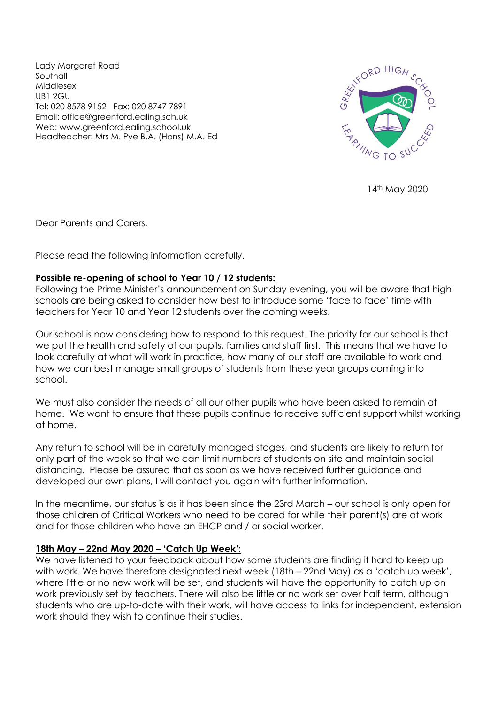Lady Margaret Road Southall Middlesex UB1 2GU Tel: 020 8578 9152 Fax: 020 8747 7891 Email: office@greenford.ealing.sch.uk Web: www.greenford.ealing.school.uk Headteacher: Mrs M. Pye B.A. (Hons) M.A. Ed



14th May 2020

Dear Parents and Carers,

Please read the following information carefully.

# **Possible re-opening of school to Year 10 / 12 students:**

Following the Prime Minister's announcement on Sunday evening, you will be aware that high schools are being asked to consider how best to introduce some 'face to face' time with teachers for Year 10 and Year 12 students over the coming weeks.

Our school is now considering how to respond to this request. The priority for our school is that we put the health and safety of our pupils, families and staff first. This means that we have to look carefully at what will work in practice, how many of our staff are available to work and how we can best manage small groups of students from these year groups coming into school.

We must also consider the needs of all our other pupils who have been asked to remain at home. We want to ensure that these pupils continue to receive sufficient support whilst working at home.

Any return to school will be in carefully managed stages, and students are likely to return for only part of the week so that we can limit numbers of students on site and maintain social distancing. Please be assured that as soon as we have received further guidance and developed our own plans, I will contact you again with further information.

In the meantime, our status is as it has been since the 23rd March – our school is only open for those children of Critical Workers who need to be cared for while their parent(s) are at work and for those children who have an EHCP and / or social worker.

# **18th May – 22nd May 2020 – 'Catch Up Week':**

We have listened to your feedback about how some students are finding it hard to keep up with work. We have therefore designated next week (18th – 22nd May) as a 'catch up week', where little or no new work will be set, and students will have the opportunity to catch up on work previously set by teachers. There will also be little or no work set over half term, although students who are up-to-date with their work, will have access to links for independent, extension work should they wish to continue their studies.